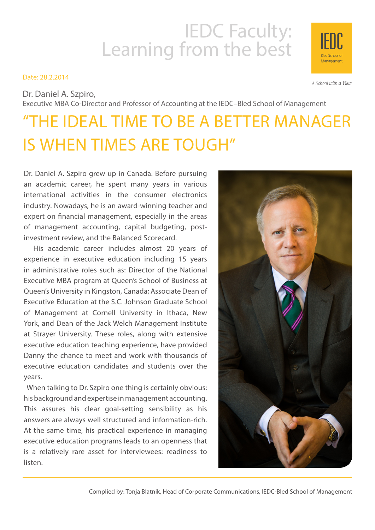# IEDC Faculty:<br>Learning from the best

# Date: 28.2.2014

Dr. Daniel A. Szpiro, Executive MBA Co-Director and Professor of Accounting at the IEDC–Bled School of Management

# "THE IDEAL TIME TO BE A BETTER MANAGER IS WHEN TIMES ARE TOUGH"

Dr. Daniel A. Szpiro grew up in Canada. Before pursuing an academic career, he spent many years in various international activities in the consumer electronics industry. Nowadays, he is an award-winning teacher and expert on financial management, especially in the areas of management accounting, capital budgeting, postinvestment review, and the Balanced Scorecard.

 His academic career includes almost 20 years of experience in executive education including 15 years in administrative roles such as: Director of the National Executive MBA program at Queen's School of Business at Queen's University in Kingston, Canada; Associate Dean of Executive Education at the S.C. Johnson Graduate School of Management at Cornell University in Ithaca, New York, and Dean of the Jack Welch Management Institute at Strayer University. These roles, along with extensive executive education teaching experience, have provided Danny the chance to meet and work with thousands of executive education candidates and students over the years.

 When talking to Dr. Szpiro one thing is certainly obvious: his background and expertise in management accounting. This assures his clear goal-setting sensibility as his answers are always well structured and information-rich. At the same time, his practical experience in managing executive education programs leads to an openness that is a relatively rare asset for interviewees: readiness to listen.



A School with a View

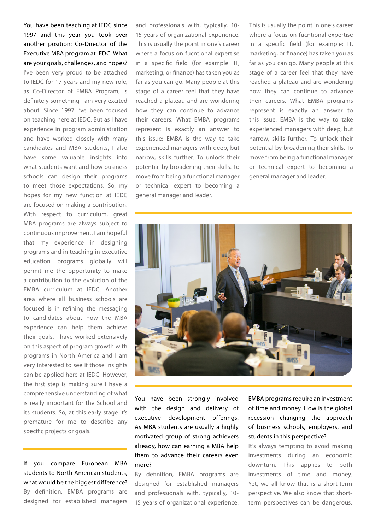You have been teaching at IEDC since 1997 and this year you took over another position: Co-Director of the Executive MBA program at IEDC. What are your goals, challenges, and hopes? I've been very proud to be attached to IEDC for 17 years and my new role, as Co-Director of EMBA Program, is definitely something I am very excited about. Since 1997 I've been focused on teaching here at IEDC. But as I have experience in program administration and have worked closely with many candidates and MBA students, I also have some valuable insights into what students want and how business schools can design their programs to meet those expectations. So, my hopes for my new function at IEDC are focused on making a contribution. With respect to curriculum, great MBA programs are always subject to continuous improvement. I am hopeful that my experience in designing programs and in teaching in executive education programs globally will permit me the opportunity to make a contribution to the evolution of the EMBA curriculum at IEDC. Another area where all business schools are focused is in refining the messaging to candidates about how the MBA experience can help them achieve their goals. I have worked extensively on this aspect of program growth with programs in North America and I am very interested to see if those insights can be applied here at IEDC. However, the first step is making sure I have a comprehensive understanding of what is really important for the School and its students. So, at this early stage it's premature for me to describe any specific projects or goals.

If you compare European MBA students to North American students, what would be the biggest difference? By definition, EMBA programs are designed for established managers and professionals with, typically, 10- 15 years of organizational experience. This is usually the point in one's career where a focus on fucntional expertise in a specific field (for example: IT, marketing, or finance) has taken you as far as you can go. Many people at this stage of a career feel that they have reached a plateau and are wondering how they can continue to advance their careers. What EMBA programs represent is exactly an answer to this issue: EMBA is the way to take experienced managers with deep, but narrow, skills further. To unlock their potential by broadening their skills. To move from being a functional manager or technical expert to becoming a general manager and leader.

This is usually the point in one's career where a focus on fucntional expertise in a specific field (for example: IT, marketing, or finance) has taken you as far as you can go. Many people at this stage of a career feel that they have reached a plateau and are wondering how they can continue to advance their careers. What EMBA programs represent is exactly an answer to this issue: EMBA is the way to take experienced managers with deep, but narrow, skills further. To unlock their potential by broadening their skills. To move from being a functional manager or technical expert to becoming a general manager and leader.



You have been strongly involved with the design and delivery of executive development offerings. As MBA students are usually a highly motivated group of strong achievers already, how can earning a MBA help them to advance their careers even more?

By definition, EMBA programs are designed for established managers and professionals with, typically, 10- 15 years of organizational experience. EMBA programs require an investment of time and money. How is the global recession changing the approach of business schools, employers, and students in this perspective?

It's always tempting to avoid making investments during an economic downturn. This applies to both investments of time and money. Yet, we all know that is a short-term perspective. We also know that shortterm perspectives can be dangerous.